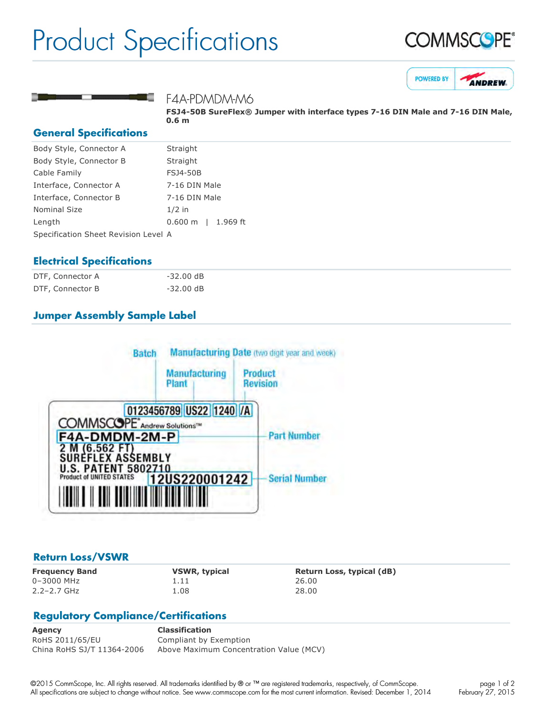## Product Specifications







#### F4A-PDMDM-M6

FSJ4-50B SureFlex® Jumper with interface types 7-16 DIN Male and 7-16 DIN Male, **0.6 m**

#### **General Specifications**

| Body Style, Connector A              | Straight                      |
|--------------------------------------|-------------------------------|
| Body Style, Connector B              | Straight                      |
| Cable Family                         | <b>FSJ4-50B</b>               |
| Interface, Connector A               | 7-16 DIN Male                 |
| Interface, Connector B               | 7-16 DIN Male                 |
| Nominal Size                         | $1/2$ in                      |
| Length                               | $0.600 \text{ m}$<br>1.969 ft |
| Specification Sheet Revision Level A |                               |
|                                      |                               |

#### **Electrical Specifications**

| DTF, Connector A | $-32.00$ dB         |
|------------------|---------------------|
| DTF, Connector B | $-32.00 \text{ dB}$ |

### **Jumper Assembly Sample Label**



#### **Return Loss/VSWR**

0–3000 MHz 1.11 26.00 2.2–2.7 GHz 1.08 28.00

**Frequency Band VSWR, typical Return Loss, typical (dB)**

### **Regulatory Compliance/Certifications**

**Agency Classification** RoHS 2011/65/EU Compliant by Exemption China RoHS SJ/T 11364-2006 Above Maximum Concentration Value (MCV)

©2015 CommScope, Inc. All rights reserved. All trademarks identified by ® or ™ are registered trademarks, respectively, of CommScope. All specifications are subject to change without notice. See www.commscope.com for the most current information. Revised: December 1, 2014